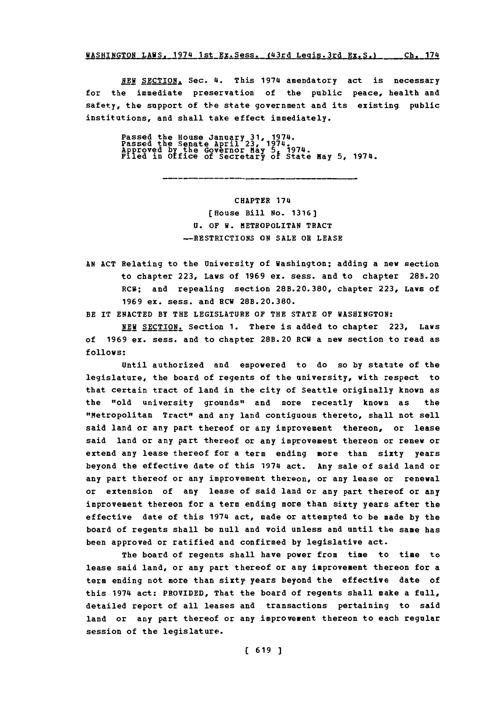**WASHINGTON\_LAWS, 1974 1st\_Ex.Sess. (43rd Leqis.3rd Ex.S.) \_ \_ Ch. 174** 

NEW SECTION, Sec. 4. This 1974 amendatory act is necessary for the immediate preservation of the public peace, health and safety, the support of the state government and its existing public institutions, and shall take effect immediately.

Passed the House January **31,** 1974. Passed the Senate April **23,'** 1974. Approved **by** the Governor May **5,** 1974. Filed in **0** fice of Secretary o~ State May **5,** 1974.

**CHAPTER** 174 (House Bill No. **1316] U.** OF W. METROPOLITAN **TRACT** -RESTRICTIONS ON **SALE** OR **LEASE**

**AN ACT** Relating to the University of Washington; adding a new section to chapter **223,** Laws of **1969** ex. sess. and to chapter 28B.20 RCR; and repealing section **28B.20.380,** chapter **223,** Laws of **1969** ex. sess. and RCW **28B.20.380.**

BE IT **ENACTED** BY THE LEGISLATURE **OF** THE **STATE OF** WASHINGTON:

**NEW** SECTION. Section **1.** There is added to chapter **223,** Laws of **1969** ex. sess. and to chapter 28B.20 RCW a new section to read as **follows:**

Until authorized and empowered to do so **by** statute of the legislature, the board of regents of the university, with respect to that certain tract of land in the city of Seattle originally known as the "old university grounds" and more recently known as the "Metropolitan Tract" and any land contiguous thereto, shall not sell said land or any part thereof or any improvement thereon, or lease said land or any part thereof or any improvement thereon or renew or extend any lease thereof for a term ending more than sixty years beyond the effective date of this 1974 act. Any sale of said land or any part thereof or any improvement thereon, or any lease or renewal or extension of any lease of said land or any part thereof or any improvement thereon for a term ending more than sixty years after the effective date of this 1974 act, made or attempted to be made **by** the board of regents shall be null and void unless and until the same has been approved or ratified and confirmed **by** legislative act.

The board of regents shall have power from time to time to lease said land, or any part thereof or any improvement thereon for a term ending not more than sixty years beyond the effective date of this 1974 act: PROVIDED, That the board of regents shall make a full, detailed report of all leases and transactions pertaining to said land or any part thereof or any improvement thereon to each regular session of the legislature.